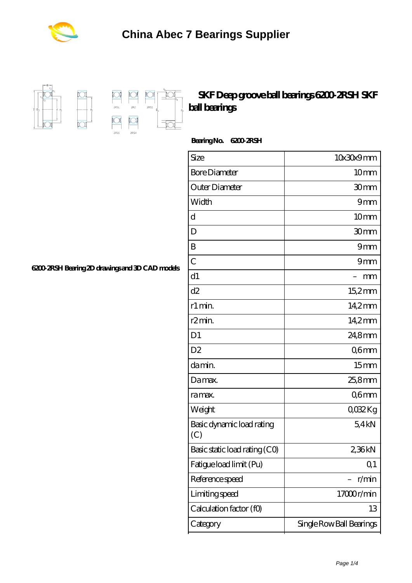



 $\Box$ 2RS1  $\sum$ 

 $\begin{picture}(20,5) \put(0,0){\line(1,0){10}} \put(15,0){\line(1,0){10}} \put(15,0){\line(1,0){10}} \put(15,0){\line(1,0){10}} \put(15,0){\line(1,0){10}} \put(15,0){\line(1,0){10}} \put(15,0){\line(1,0){10}} \put(15,0){\line(1,0){10}} \put(15,0){\line(1,0){10}} \put(15,0){\line(1,0){10}} \put(15,0){\line(1,0){10}} \put(15,0){\line(1,$ 

 $\overline{\text{D}}$ 

## **[SKF Deep groove ball bearings 6200-2RSH SKF](https://biltfonts.com/skf-km4-bearing/skf-6200-2rsh.html) [ball bearings](https://biltfonts.com/skf-km4-bearing/skf-6200-2rsh.html)**

Bearing No. 6200 *2RSH* 

| Size                             | 10x30x9mm                |
|----------------------------------|--------------------------|
| <b>Bore Diameter</b>             | 10mm                     |
| Outer Diameter                   | 30mm                     |
| Width                            | 9mm                      |
| d                                | 10mm                     |
| D                                | 30mm                     |
| B                                | 9mm                      |
| $\overline{C}$                   | 9mm                      |
| d1                               | mm                       |
| d2                               | 15,2mm                   |
| r1 min.                          | 14,2mm                   |
| r <sub>2</sub> min.              | 14.2mm                   |
| D <sub>1</sub>                   | 24,8mm                   |
| D2                               | Q6mm                     |
| da min.                          | 15 <sub>mm</sub>         |
| Damax.                           | 25,8mm                   |
| ra max.                          | Q6mm                     |
| Weight                           | QO32Kg                   |
| Basic dynamic load rating<br>(C) | 54kN                     |
| Basic static load rating (CO)    | 236kN                    |
| Fatigue load limit (Pu)          | Q <sub>1</sub>           |
| Reference speed                  | r/min                    |
| Limiting speed                   | 17000r/min               |
| Calculation factor (f0)          | 13                       |
| Category                         | Single Row Ball Bearings |

**[6200-2RSH Bearing 2D drawings and 3D CAD models](https://biltfonts.com/pic-560545.html)**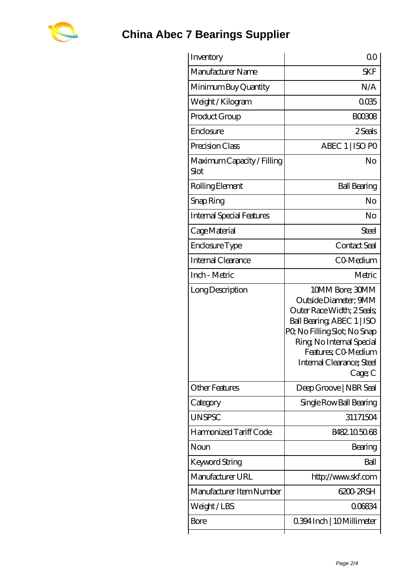

| Inventory                          | 0 <sup>0</sup>                                                                                                                                                                                                                  |
|------------------------------------|---------------------------------------------------------------------------------------------------------------------------------------------------------------------------------------------------------------------------------|
| Manufacturer Name                  | <b>SKF</b>                                                                                                                                                                                                                      |
| Minimum Buy Quantity               | N/A                                                                                                                                                                                                                             |
| Weight / Kilogram                  | 0035                                                                                                                                                                                                                            |
| Product Group                      | <b>BOO308</b>                                                                                                                                                                                                                   |
| Enclosure                          | 2 Seals                                                                                                                                                                                                                         |
| Precision Class                    | ABEC 1   ISO PO                                                                                                                                                                                                                 |
| Maximum Capacity / Filling<br>Slot | No                                                                                                                                                                                                                              |
| Rolling Element                    | <b>Ball Bearing</b>                                                                                                                                                                                                             |
| Snap Ring                          | No                                                                                                                                                                                                                              |
| <b>Internal Special Features</b>   | No                                                                                                                                                                                                                              |
| Cage Material                      | Steel                                                                                                                                                                                                                           |
| Enclosure Type                     | Contact Seal                                                                                                                                                                                                                    |
| Internal Clearance                 | CO-Medium                                                                                                                                                                                                                       |
| Inch - Metric                      | Metric                                                                                                                                                                                                                          |
| Long Description                   | 10MM Bore; 30MM<br>Outside Diameter; 9MM<br>Outer Race Width; 2 Seals;<br>Ball Bearing, ABEC 1   ISO<br>PQ No Filling Slot; No Snap<br>Ring, No Internal Special<br>Features; CO Medium<br>Internal Clearance; Steel<br>Cage; C |
| <b>Other Features</b>              | Deep Groove   NBR Seal                                                                                                                                                                                                          |
| Category                           | Single Row Ball Bearing                                                                                                                                                                                                         |
| <b>UNSPSC</b>                      | 31171504                                                                                                                                                                                                                        |
| Harmonized Tariff Code             | 8482105068                                                                                                                                                                                                                      |
| Noun                               | Bearing                                                                                                                                                                                                                         |
| Keyword String                     | Ball                                                                                                                                                                                                                            |
| Manufacturer URL                   | http://www.skf.com                                                                                                                                                                                                              |
| Manufacturer Item Number           | 6200 2RSH                                                                                                                                                                                                                       |
| Weight/LBS                         | 006834                                                                                                                                                                                                                          |
| Bore                               | 0.394 Inch   10 Millimeter                                                                                                                                                                                                      |
|                                    |                                                                                                                                                                                                                                 |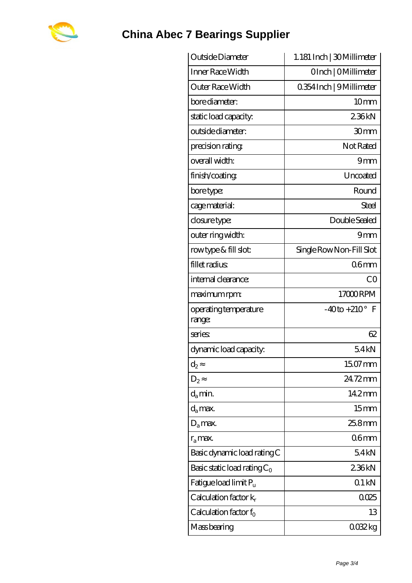

## **[China Abec 7 Bearings Supplier](https://biltfonts.com)**

| Outside Diameter                | 1.181 Inch   30Millimeter |
|---------------------------------|---------------------------|
| Inner Race Width                | OInch   OMillimeter       |
| Outer Race Width                | 0.354 Inch   9 Millimeter |
| bore diameter:                  | 10mm                      |
| static load capacity.           | 236kN                     |
| outside diameter:               | 30mm                      |
| precision rating                | Not Rated                 |
| overall width:                  | 9mm                       |
| finish/coating                  | Uncoated                  |
| bore type:                      | Round                     |
| cage material:                  | Steel                     |
| closure type:                   | Double Sealed             |
| outer ring width:               | 9mm                       |
| rowtype & fill slot:            | Single Row Non-Fill Slot  |
| fillet radius                   | 06 <sub>mm</sub>          |
| internal clearance:             | CO                        |
| maximum rpm:                    | 17000RPM                  |
| operating temperature<br>range: | $-40$ to $+210^{\circ}$ F |
| series                          | 62                        |
| dynamic load capacity:          | 54kN                      |
| $d_2$                           | 15.07 mm                  |
| $D_2$                           | 24.72mm                   |
| $d_a$ min.                      | 14.2mm                    |
| $d_a$ max.                      | 15 <sub>mm</sub>          |
| $D_a$ max.                      | $258$ mm                  |
| $r_a$ max.                      | 06 <sub>mm</sub>          |
| Basic dynamic load rating C     | 54kN                      |
| Basic static load rating $C_0$  | 236kN                     |
| Fatigue load limit $P_{\rm u}$  | 01kN                      |
| Calculation factor $k_r$        | 0025                      |
| Calculation factor $f_0$        | 13                        |
| Mass bearing                    | 0032kg                    |